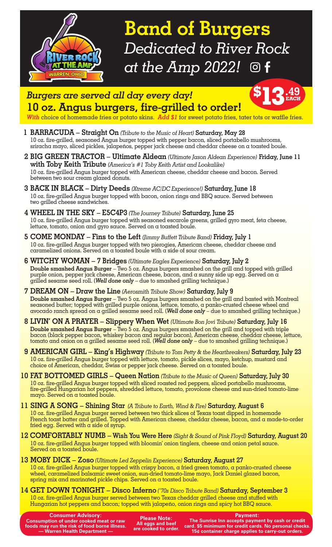

**Band of Burgers** *Dedicated to River Rock at the Amp 2022!*  $\circledcirc$  f

**13.49**

**EACH**



*With* choice of homemade fries or potato skins. *Add \$1* for sweet potato fries, tater tots or waffle fries.

- **1 BARRACUDA Straight On** *(Tribute to the Music of Heart)* **Saturday, May 28** 10 oz. fire-grilled, seasoned Angus burger topped with pepper bacon, sliced portabello mushrooms, sriracha mayo, sliced pickles, jalapeños, pepper jack cheese and cheddar cheese on a toasted boule.
- **2 BIG GREEN TRACTOR Ultimate Aldean** *(Ultimate Jason Aldean Experience)* **Friday, June 11 with Toby Keith Tribute** *(America's #1 Toby Keith Artist and Lookalike)* 10 oz. fire-grilled Angus burger topped with American cheese, cheddar cheese and bacon. Served between two sour cream glazed donuts.
- **3 BACK IN BLACK Dirty Deeds** *(Xtreme AC/DC Experience!)* **Saturday, June 18** 10 oz. fire-grilled Angus burger topped with bacon, onion rings and BBQ sauce. Served between two grilled cheese sandwiches.
- **4 WHEEL IN THE SKY E5C4P3** *(The Journey Tribute)* **Saturday, June 25** 10 oz. fire-grilled Angus burger topped with seasoned escarole greens, grilled gyro meat, feta cheese, lettuce, tomato, onion and gyro sauce. Served on a toasted boule.
- **5 COME MONDAY Fins to the Left** *(Jimmy Buffett Tribute Band)* **Friday, July 1**  10 oz. fire-grilled Angus burger topped with two pierogies, American cheese, cheddar cheese and caramelized onions. Served on a toasted boule with a side of sour cream.
- **6 WITCHY WOMAN 7 Bridges** *(Ultimate Eagles Experience)* **Saturday, July 2 Double smashed Angus Burger** – Two 5 oz. Angus burgers smashed on the grill and topped with grilled purple onion, pepper jack cheese, American cheese, bacon, and a sunny side up egg. Served on a grilled sesame seed roll. (*Well done only* – due to smashed grilling technique.)
- **7 DREAM ON Draw the Line** *(Aerosmith Tribute Show)* **Saturday, July 9 Double smashed Angus Burger** – Two 5 oz. Angus burgers smashed on the grill and basted with Montreal seasoned butter; topped with grilled purple onions, lettuce, tomato, a panko-crusted cheese wheel and avocado ranch spread on a grilled sesame seed roll. (*Well done only* – due to smashed grilling technique.)
- **8 LIVIN' ON A PRAYER Slippery When Wet** *(Ultimate Bon Jovi Tribute)* **Saturday, July 16 Double smashed Angus Burger** – Two 5 oz. Angus burgers smashed on the grill and topped with triple bacon (black pepper bacon, whiskey bacon and regular bacon), American cheese, cheddar cheese, lettuce, tomato and onion on a grilled sesame seed roll. (*Well done only* – due to smashed grilling technique.)
- **9 AMERICAN GIRL King's Highway** *(Tribute to Tom Petty & the Heartbreakers)* **Saturday, July 23** 10 oz. fire-grilled Angus burger topped with lettuce, tomato, pickle slices, mayo, ketchup, mustard and choice of American, cheddar, Swiss or pepper jack cheese. Served on a toasted boule.
- **10 FAT BOTTOMED GIRLS Queen Nation** *(Tribute to the Music of Queen)* **Saturday, July 30** 10 oz. fire-grilled Angus burger topped with sliced roasted red peppers, sliced portabello mushrooms, fire-grilled Hungarian hot peppers, shredded lettuce, tomato, provolone cheese and sun-dried tomato-lime mayo. Served on a toasted boule.
- **11 SING A SONG Shining Star** *(A Tribute to Earth, Wind & Fire)* **Saturday, August 6** 10 oz. fire-grilled Angus burger served between two thick slices of Texas toast dipped in homemade French toast batter and grilled. Topped with American cheese, cheddar cheese, bacon, and a made-to-order fried egg. Served with a side of syrup.
- **12 COMFORTABLY NUMB Wish You Were Here** *(Sight & Sound of Pink Floyd)* **Saturday, August 20** 10 oz. fire-grilled Angus burger topped with bloomin' onion tinglers, cheese and onion petal sauce. Served on a toasted boule.
- **13 MOBY DICK Zoso** *(Ultimate Led Zeppelin Experience)* **Saturday, August 27** 10 oz. fire-grilled Angus burger topped with crispy bacon, a fried green tomato, a panko-crusted cheese wheel, caramelized balsamic sweet onion, sun-dried tomato-lime mayo, Jack Daniel glazed bacon, spring mix and marinated pickle chips. Served on a toasted boule.
- **14 GET DOWN TONIGHT Disco Inferno** *('70s Disco Tribute Band)* **Saturday, September 3** 10 oz. fire-grilled Angus burger served between two Texas cheddar grilled cheese and stuffed with Hungarian hot peppers and bacon; topped with jalapeño, onion rings and spicy hot BBQ sauce.

**Consumer Advisory: Consumption of under cooked meat or raw foods may run the risk of food borne illness. — Warren Health Department —**

**Please Note: All eggs and beef are cooked to order.** **Payment:** 

**The Sunrise Inn accepts payment by cash or credit card. \$5 minimum for credit cards. No personal checks. 15¢ container charge applies to carry-out orders.**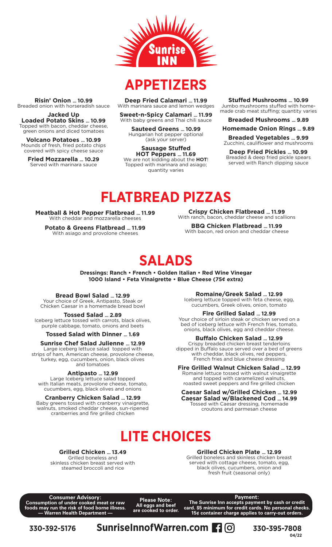

### **APPETIZERS**

**Deep Fried Calamari … 11.99** With marinara sauce and lemon wedges

**Sweet-n-Spicy Calamari … 11.99** With baby greens and Thai chili sauce

**Sauteed Greens … 10.99** Hungarian hot pepper optional (ask your server)

**Sausage Stuffed HOT Peppers … 11.69** We are not kidding about the **HOT**! Topped with marinara and asiago; quantity varies

**Stuffed Mushrooms … 10.99** Jumbo mushrooms stuffed with homemade crab meat stuffing; quantity varies

#### **Breaded Mushrooms … 9.89**

**Homemade Onion Rings … 9.89**

**Breaded Vegetables … 9.99** Zucchini, cauliflower and mushrooms

**Deep Fried Pickles … 10.99** Breaded & deep fried pickle spears served with Ranch dipping sauce

# **FLATBREAD PIZZAS**

**Meatball & Hot Pepper Flatbread … 11.99** With cheddar and mozzarella cheeses

**Risin' Onion … 10.99** Breaded onion with horseradish sauce **Jacked Up Loaded Potato Skins … 10.99** Topped with bacon, cheddar cheese, green onions and diced tomatoes **Volcano Potatoes … 10.99** Mounds of fresh, fried potato chips covered with spicy cheese sauce **Fried Mozzarella … 10.29** Served with marinara sauce

> **Potato & Greens Flatbread … 11.99** With asiago and provolone cheeses

**Crispy Chicken Flatbread … 11.99** With ranch, bacon, cheddar cheese and scallions

**BBQ Chicken Flatbread … 11.99** With bacon, red onion and cheddar cheese

### **SALADS**

**Dressings: Ranch • French • Golden Italian • Red Wine Vinegar 1000 Island • Feta Vinaigrette • Blue Cheese (75¢ extra)**

### **Bread Bowl Salad … 12.99**

Your choice of Greek, Antipasto, Steak or Chicken Caesar in a homemade bread bowl

**Tossed Salad … 2.89**

Iceberg lettuce tossed with carrots, black olives, purple cabbage, tomato, onions and beets

**Tossed Salad with Dinner … 1.69**

### **Sunrise Chef Salad Julienne … 12.99**

Large iceberg lettuce salad topped with strips of ham, American cheese, provolone cheese, turkey, egg, cucumbers, onion, black olives and tomatoes

### **Antipasto … 12.99**

Large Iceberg lettuce salad topped with Italian meats, provolone cheese, tomato, cucumbers, egg, black olives and onions

### **Cranberry Chicken Salad … 12.99**

Baby greens tossed with cranberry vinaigrette, walnuts, smoked cheddar cheese, sun-ripened cranberries and fire grilled chicken

**Romaine/Greek Salad … 12.99** Iceberg lettuce topped with feta cheese, egg, cucumbers, Greek olives, onion, tomato

#### **Fire Grilled Salad … 12.99**

Your choice of sirloin steak or chicken served on a bed of iceberg lettuce with French fries, tomato, onions, black olives, egg and cheddar cheese.

### **Buffalo Chicken Salad … 12.99**

Crispy breaded chicken breast tenderloins dipped in Buffalo sauce served over a bed of greens with cheddar, black olives, red peppers, French fries and blue cheese dressing

### **Fire Grilled Walnut Chicken Salad … 12.99**

Romaine lettuce tossed with walnut vinaigrette and topped with caramelized walnuts, roasted sweet peppers and fire grilled chicken

#### **Caesar Salad w/Grilled Chicken … 12.99 Caesar Salad w/Blackened Cod … 14.99**

Tossed with Caesar dressing, homemade croutons and parmesan cheese

### **LITE CHOICES**

**Grilled Chicken … 13.49** Grilled boneless and skinless chicken breast served with steamed broccoli and rice

**Grilled Chicken Plate … 12.99** Grilled boneless and skinless chicken breast served with cottage cheese, tomato, egg, black olives, cucumbers, onion and fresh fruit (seasonal only)

**Consumer Advisory: Consumption of under cooked meat or raw foods may run the risk of food borne illness. — Warren Health Department —**

**Please Note: All eggs and beef are cooked to order.** **Payment:** 

**The Sunrise Inn accepts payment by cash or credit card. \$5 minimum for credit cards. No personal checks. 15¢ container charge applies to carry-out orders.**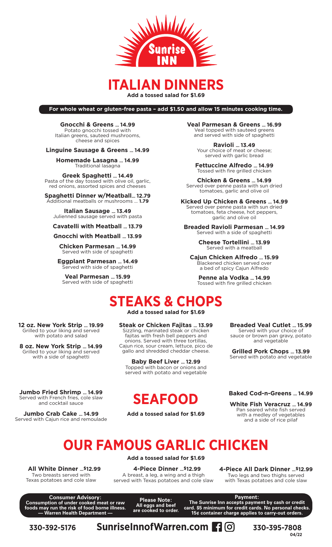

### **ITALIAN DINNERS**

**Add a tossed salad for \$1.69**

**For whole wheat or gluten-free pasta – add \$1.50 and allow 15 minutes cooking time.**

**Gnocchi & Greens … 14.99** Potato gnocchi tossed with Italian greens, sauteed mushrooms, cheese and spices

#### **Linguine Sausage & Greens … 14.99**

**Homemade Lasagna … 14.99** Traditional lasagna

**Greek Spaghetti … 14.49** Pasta of the day tossed with olive oil, garlic, red onions, assorted spices and cheeses

**Spaghetti Dinner w/Meatball… 12.79** Additional meatballs or mushrooms … **1.79**

**Italian Sausage … 13.49** Julienned sausage served with pasta

**Cavatelli with Meatball … 13.79**

**Gnocchi with Meatball … 13.99**

**Chicken Parmesan … 14.99** Served with side of spaghetti

**Eggplant Parmesan … 14.49** Served with side of spaghetti

**Veal Parmesan … 15.99** Served with side of spaghetti **Veal Parmesan & Greens … 16.99** Veal topped with sauteed greens and served with side of spaghetti

> **Ravioli … 13.49** Your choice of meat or cheese; served with garlic bread

**Fettuccine Alfredo … 14.99** Tossed with fire grilled chicken

**Chicken & Greens … 14.99** Served over penne pasta with sun dried tomatoes, garlic and olive oil

**Kicked Up Chicken & Greens … 14.99** Served over penne pasta with sun dried tomatoes, feta cheese, hot peppers, garlic and olive oil

**Breaded Ravioli Parmesan … 14.99** Served with a side of spaghetti

> **Cheese Tortellini … 13.99** Served with a meatball

**Cajun Chicken Alfredo … 15.99** Blackened chicken served over a bed of spicy Cajun Alfredo

**Penne ala Vodka … 14.99** Tossed with fire grilled chicken

## **STEAKS & CHOPS**

**Add a tossed salad for \$1.69**

### **Steak or Chicken Fajitas … 13.99**

Sizzling, marinated steak or chicken fajitas with fresh bell peppers and onions. Served with three tortillas, Cajun rice, sour cream, lettuce, pico de gallo and shredded cheddar cheese.

**Baby Beef Liver … 12.99** Topped with bacon or onions and served with potato and vegetable

**Jumbo Fried Shrimp … 14.99** Served with French fries, cole slaw and cocktail sauce

**12 oz. New York Strip … 19.99** Grilled to your liking and served with potato and salad **8 oz. New York Strip … 14.99** Grilled to your liking and served with a side of spaghetti

**Jumbo Crab Cake … 14.99** Served with Cajun rice and remoulade

### **SEAFOOD**

**Add a tossed salad for \$1.69**

**Grilled Pork Chops … 13.99** Served with potato and vegetable

**Breaded Veal Cutlet … 15.99** Served with your choice of sauce or brown pan gravy, potato and vegetable

#### **Baked Cod-n-Greens … 14.99**

**White Fish Veracruz … 14.99** Pan seared white fish served with a medley of vegetables and a side of rice pilaf

# **OUR FAMOUS GARLIC CHICKEN**

 **All White Dinner …\$12.99** Two breasts served with Texas potatoes and cole slaw

**Add a tossed salad for \$1.69**

 **4-Piece Dinner …\$12.99** A breast, a leg, a wing and a thigh served with Texas potatoes and cole slaw **4-Piece All Dark Dinner …\$12.99** Two legs and two thighs served with Texas potatoes and cole slaw

**Consumer Advisory: Consumption of under cooked meat or raw foods may run the risk of food borne illness. — Warren Health Department —**

**Please Note: All eggs and beef are cooked to order.**

**Payment: The Sunrise Inn accepts payment by cash or credit card. \$5 minimum for credit cards. No personal checks. 15¢ container charge applies to carry-out orders.**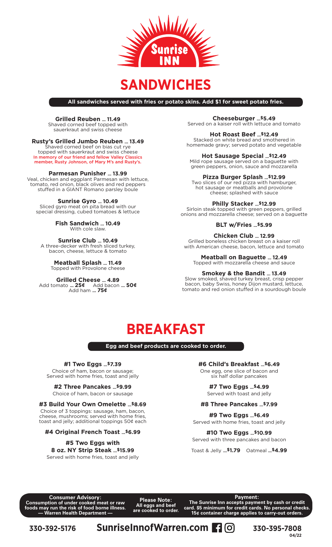

### **SANDWICHES**

**All sandwiches served with fries or potato skins. Add \$1 for sweet potato fries.**

### **Grilled Reuben … 11.49**

Shaved corned beef topped with sauerkraut and swiss cheese

### **Rusty's Grilled Jumbo Reuben … 13.49**

Shaved corned beef on bias cut rye topped with sauerkraut and swiss cheese In memory of our friend and fellow Valley Classics member, Rusty Johnson, of Mary M's and Rusty's.

### **Parmesan Punisher … 13.99**

Veal, chicken and eggplant Parmesan with lettuce, tomato, red onion, black olives and red peppers stuffed in a GIANT Romano parsley boule

**Sunrise Gyro … 10.49**

Sliced gyro meat on pita bread with our special dressing, cubed tomatoes & lettuce

> **Fish Sandwich … 10.49** With cole slaw.

**Sunrise Club … 10.49** A three-decker with fresh sliced turkey, bacon, cheese, lettuce & tomato

> **Meatball Splash … 11.49** Topped with Provolone cheese

#### **Grilled Cheese … 4.89** Add tomato **… 25¢** Add bacon **… 50¢** Add ham **… 75¢**

**Cheeseburger …\$5.49** Served on a kaiser roll with lettuce and tomato

**Hot Roast Beef …\$12.49** Stacked on white bread and smothered in homemade gravy; served potato and vegetable

**Hot Sausage Special …\$12.49** Mild rope sausage served on a baguette with

green peppers, onion, sauce and mozzarella

**Pizza Burger Splash …\$12.99** Two slices of our red pizza with hamburger,

hot sausage or meatballs and provolone cheese; splashed with sauce

#### **Philly Stacker …\$12.99**

Sirloin steak topped with green peppers, grilled onions and mozzarella cheese; served on a baguette

**BLT w/Fries …\$5.99**

**Chicken Club … 12.99**

Grilled boneless chicken breast on a kaiser roll with American cheese, bacon, lettuce and tomato

**Meatball on Baguette … 12.49**

Topped with mozzarella cheese and sauce

#### **Smokey & the Bandit … 13.49**

Slow smoked, shaved turkey breast, crisp pepper bacon, baby Swiss, honey Dijon mustard, lettuce, tomato and red onion stuffed in a sourdough boule

### **BREAKFAST**

**Egg and beef products are cooked to order.**

### **#1 Two Eggs …\$7.39**

Choice of ham, bacon or sausage; Served with home fries, toast and jelly

#### **#2 Three Pancakes …\$9.99** Choice of ham, bacon or sausage

### **#3 Build Your Own Omelette …\$8.69**

Choice of 3 toppings: sausage, ham, bacon, cheese, mushrooms; served with home fries, toast and jelly; additional toppings 50¢ each

### **#4 Original French Toast …\$6.99**

### **#5 Two Eggs with 8 oz. NY Strip Steak …\$15.99** Served with home fries, toast and jelly

**#6 Child's Breakfast …\$6.49**

One egg, one slice of bacon and six half dollar pancakes

#### **#7 Two Eggs …\$4.99** Served with toast and jelly

### **#8 Three Pancakes …\$7.99**

**#9 Two Eggs …\$6.49** Served with home fries, toast and jelly

#### **#10 Two Eggs …\$10.99** Served with three pancakes and bacon

Toast & Jelly **…\$1.79** Oatmeal **…\$4.99** 

**Consumer Advisory: Consumption of under cooked meat or raw foods may run the risk of food borne illness. — Warren Health Department —**

**Please Note: All eggs and beef are cooked to order.** **Payment:** 

**The Sunrise Inn accepts payment by cash or credit card. \$5 minimum for credit cards. No personal checks. 15¢ container charge applies to carry-out orders.**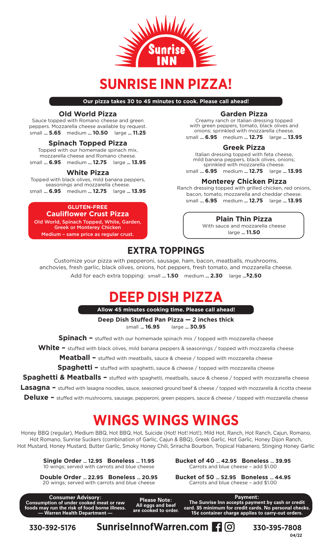

### **SUNRISE INN PIZZA!**

**Our pizza takes 30 to 45 minutes to cook. Please call ahead!**

### **Old World Pizza**

Sauce topped with Romano cheese and green peppers. Mozzarella cheese available by request. small **… 5.65** medium **… 10.50** large **… 11.25**

### **Spinach Topped Pizza**

Topped with our homemade spinach mix, mozzarella cheese and Romano cheese. small **… 6.95** medium **… 12.75** large **… 13.95**

### **White Pizza**

Topped with black olives, mild banana peppers, seasonings and mozzarella cheese. small **… 6.95** medium **… 12.75** large **… 13.95**

**GLUTEN-FREE Cauliflower Crust Pizza** Old World, Spinach Topped, White, Garden, Greek or Monterey Chicken Medium – same price as regular crust.

### **Garden Pizza**

Creamy ranch or Italian dressing topped with green peppers, tomato, black olives and onions; sprinkled with mozzarella cheese. small **… 6.95** medium **… 12.75** large **… 13.95**

### **Greek Pizza**

Italian dressing topped with feta cheese, mild banana peppers, black olives, onions; sprinkled with mozzarella cheese. small **… 6.95** medium **… 12.75** large **… 13.95**

### **Monterey Chicken Pizza**

Ranch dressing topped with grilled chicken, red onions, bacon, tomato, mozzarella and cheddar cheese. small **… 6.95** medium **… 12.75** large **… 13.95**

### **Plain Thin Pizza**

With sauce and mozzarella cheese large **… 11.50**

### **EXTRA TOPPINGS**

Customize your pizza with pepperoni, sausage, ham, bacon, meatballs, mushrooms, anchovies, fresh garlic, black olives, onions, hot peppers, fresh tomato, and mozzarella cheese. Add for each extra topping: small **… 1.50** medium **… 2.30** large **…\$2.50**

### **DEEP DISH PIZZA**

**Allow 45 minutes cooking time. Please call ahead!**

**Deep Dish Stuffed Pan Pizza — 2 inches thick**

small **… 16.95** large **… 30.95**

**Spinach –** stuffed with our homemade spinach mix / topped with mozzarella cheese

White – stuffed with black olives, mild banana peppers & seasonings / topped with mozzarella cheese

**Meatball –** stuffed with meatballs, sauce & cheese / topped with mozzarella cheese

**Spaghetti –** stuffed with spaghetti, sauce & cheese / topped with mozzarella cheese

**Spaghetti & Meatballs –** stuffed with spaghetti, meatballs, sauce & cheese / topped with mozzarella cheese

**Lasagna –** stuffed with lasagna noodles, sauce, seasoned ground beef & cheese / topped with mozzarella & ricotta cheese

**Deluxe –** stuffed with mushrooms, sausage, pepperoni, green peppers, sauce & cheese / topped with mozzarella cheese

## **WINGS WINGS WINGS**

Honey BBQ (regular), Medium BBQ, Hot BBQ, Hot, Suicide (Hot! Hot! Hot!), Mild Hot, Ranch, Hot Ranch, Cajun, Romano, Hot Romano, Sunrise Suckers (combination of Garlic, Cajun & BBQ), Greek Garlic, Hot Garlic, Honey Dijon Ranch, Hot Mustard, Honey Mustard, Butter Garlic, Smoky Honey Chili, Sriracha Bourbon, Tropical Habanero, Stinging Honey Garlic

**Single Order … 12.95 Boneless … 11.95** 10 wings; served with carrots and blue cheese

**Double Order … 22.95 Boneless … 20.95** 20 wings; served with carrots and blue cheese

**Bucket of 40 … 42.95 Boneless … 39.95** Carrots and blue cheese – add \$1.00

**Bucket of 50 … 52.95 Boneless … 44.95** Carrots and blue cheese – add \$1.00

**Consumer Advisory: Consumption of under cooked meat or raw foods may run the risk of food borne illness. — Warren Health Department —**

**Please Note: All eggs and beef are cooked to order.**

**Payment: The Sunrise Inn accepts payment by cash or credit card. \$5 minimum for credit cards. No personal checks. 15¢ container charge applies to carry-out orders.**